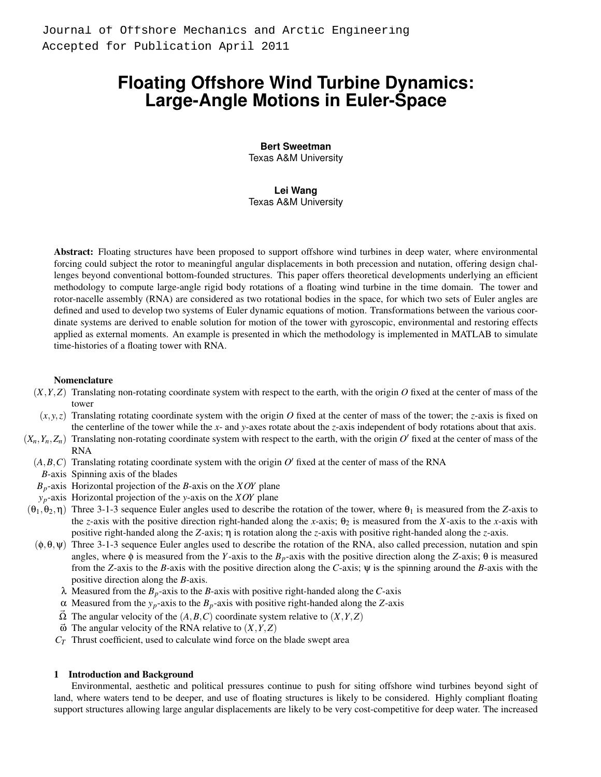# **Floating Offshore Wind Turbine Dynamics: Large-Angle Motions in Euler-Space**

**Bert Sweetman** Texas A&M University

## **Lei Wang**

Texas A&M University

Abstract: Floating structures have been proposed to support offshore wind turbines in deep water, where environmental forcing could subject the rotor to meaningful angular displacements in both precession and nutation, offering design challenges beyond conventional bottom-founded structures. This paper offers theoretical developments underlying an efficient methodology to compute large-angle rigid body rotations of a floating wind turbine in the time domain. The tower and rotor-nacelle assembly (RNA) are considered as two rotational bodies in the space, for which two sets of Euler angles are defined and used to develop two systems of Euler dynamic equations of motion. Transformations between the various coordinate systems are derived to enable solution for motion of the tower with gyroscopic, environmental and restoring effects applied as external moments. An example is presented in which the methodology is implemented in MATLAB to simulate time-histories of a floating tower with RNA.

## Nomenclature

- $(X, Y, Z)$  Translating non-rotating coordinate system with respect to the earth, with the origin *O* fixed at the center of mass of the tower
- $(x, y, z)$  Translating rotating coordinate system with the origin *O* fixed at the center of mass of the tower; the *z*-axis is fixed on the centerline of the tower while the *x*- and *y*-axes rotate about the *z*-axis independent of body rotations about that axis.
- $(X_n, Y_n, Z_n)$  Translating non-rotating coordinate system with respect to the earth, with the origin  $O'$  fixed at the center of mass of the RNA
	- $(A, B, C)$  Translating rotating coordinate system with the origin  $O'$  fixed at the center of mass of the RNA
	- *B*-axis Spinning axis of the blades
	- *Bp*-axis Horizontal projection of the *B*-axis on the *XOY* plane
	- *yp*-axis Horizontal projection of the *y*-axis on the *XOY* plane
- $(\theta_1, \theta_2, \eta)$  Three 3-1-3 sequence Euler angles used to describe the rotation of the tower, where  $\theta_1$  is measured from the *Z*-axis to the *z*-axis with the positive direction right-handed along the *x*-axis;  $\theta_2$  is measured from the *X*-axis to the *x*-axis with positive right-handed along the *Z*-axis; η is rotation along the *z*-axis with positive right-handed along the *z*-axis.
	- $(\phi, \theta, \psi)$  Three 3-1-3 sequence Euler angles used to describe the rotation of the RNA, also called precession, nutation and spin angles, where  $\phi$  is measured from the *Y*-axis to the  $B_p$ -axis with the positive direction along the *Z*-axis;  $\theta$  is measured from the *Z*-axis to the *B*-axis with the positive direction along the *C*-axis; ψ is the spinning around the *B*-axis with the positive direction along the *B*-axis.
		- λ Measured from the *B<sub>p</sub>*-axis to the *B*-axis with positive right-handed along the *C*-axis
		- α Measured from the *yp*-axis to the *Bp*-axis with positive right-handed along the *Z*-axis
		- $\Omega$  The angular velocity of the  $(A, B, C)$  coordinate system relative to  $(X, Y, Z)$
		- $\vec{\omega}$  The angular velocity of the RNA relative to  $(X, Y, Z)$
		- *C<sup>T</sup>* Thrust coefficient, used to calculate wind force on the blade swept area

## 1 Introduction and Background

Environmental, aesthetic and political pressures continue to push for siting offshore wind turbines beyond sight of land, where waters tend to be deeper, and use of floating structures is likely to be considered. Highly compliant floating support structures allowing large angular displacements are likely to be very cost-competitive for deep water. The increased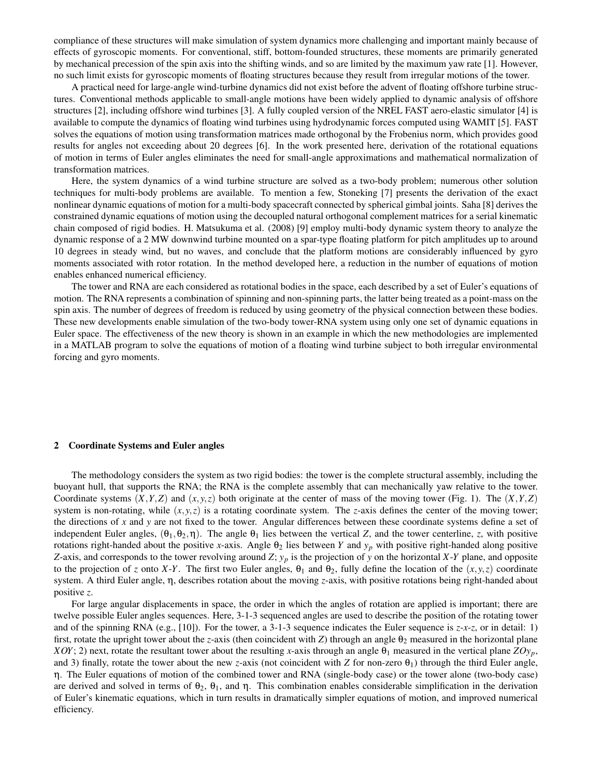compliance of these structures will make simulation of system dynamics more challenging and important mainly because of effects of gyroscopic moments. For conventional, stiff, bottom-founded structures, these moments are primarily generated by mechanical precession of the spin axis into the shifting winds, and so are limited by the maximum yaw rate [1]. However, no such limit exists for gyroscopic moments of floating structures because they result from irregular motions of the tower.

A practical need for large-angle wind-turbine dynamics did not exist before the advent of floating offshore turbine structures. Conventional methods applicable to small-angle motions have been widely applied to dynamic analysis of offshore structures [2], including offshore wind turbines [3]. A fully coupled version of the NREL FAST aero-elastic simulator [4] is available to compute the dynamics of floating wind turbines using hydrodynamic forces computed using WAMIT [5]. FAST solves the equations of motion using transformation matrices made orthogonal by the Frobenius norm, which provides good results for angles not exceeding about 20 degrees [6]. In the work presented here, derivation of the rotational equations of motion in terms of Euler angles eliminates the need for small-angle approximations and mathematical normalization of transformation matrices.

Here, the system dynamics of a wind turbine structure are solved as a two-body problem; numerous other solution techniques for multi-body problems are available. To mention a few, Stoneking [7] presents the derivation of the exact nonlinear dynamic equations of motion for a multi-body spacecraft connected by spherical gimbal joints. Saha [8] derives the constrained dynamic equations of motion using the decoupled natural orthogonal complement matrices for a serial kinematic chain composed of rigid bodies. H. Matsukuma et al. (2008) [9] employ multi-body dynamic system theory to analyze the dynamic response of a 2 MW downwind turbine mounted on a spar-type floating platform for pitch amplitudes up to around 10 degrees in steady wind, but no waves, and conclude that the platform motions are considerably influenced by gyro moments associated with rotor rotation. In the method developed here, a reduction in the number of equations of motion enables enhanced numerical efficiency.

The tower and RNA are each considered as rotational bodies in the space, each described by a set of Euler's equations of motion. The RNA represents a combination of spinning and non-spinning parts, the latter being treated as a point-mass on the spin axis. The number of degrees of freedom is reduced by using geometry of the physical connection between these bodies. These new developments enable simulation of the two-body tower-RNA system using only one set of dynamic equations in Euler space. The effectiveness of the new theory is shown in an example in which the new methodologies are implemented in a MATLAB program to solve the equations of motion of a floating wind turbine subject to both irregular environmental forcing and gyro moments.

#### 2 Coordinate Systems and Euler angles

The methodology considers the system as two rigid bodies: the tower is the complete structural assembly, including the buoyant hull, that supports the RNA; the RNA is the complete assembly that can mechanically yaw relative to the tower. Coordinate systems  $(X, Y, Z)$  and  $(x, y, z)$  both originate at the center of mass of the moving tower (Fig. 1). The  $(X, Y, Z)$ system is non-rotating, while  $(x, y, z)$  is a rotating coordinate system. The *z*-axis defines the center of the moving tower; the directions of *x* and *y* are not fixed to the tower. Angular differences between these coordinate systems define a set of independent Euler angles,  $(\theta_1, \theta_2, \eta)$ . The angle  $\theta_1$  lies between the vertical *Z*, and the tower centerline, *z*, with positive rotations right-handed about the positive *x*-axis. Angle  $\theta_2$  lies between *Y* and  $y_p$  with positive right-handed along positive *Z*-axis, and corresponds to the tower revolving around *Z*; *y<sup>p</sup>* is the projection of *y* on the horizontal *X*-*Y* plane, and opposite to the projection of *z* onto *X*-*Y*. The first two Euler angles,  $\theta_1$  and  $\theta_2$ , fully define the location of the  $(x, y, z)$  coordinate system. A third Euler angle, η, describes rotation about the moving *z*-axis, with positive rotations being right-handed about positive *z*.

For large angular displacements in space, the order in which the angles of rotation are applied is important; there are twelve possible Euler angles sequences. Here, 3-1-3 sequenced angles are used to describe the position of the rotating tower and of the spinning RNA (e.g., [10]). For the tower, a 3-1-3 sequence indicates the Euler sequence is *z*-*x*-*z*, or in detail: 1) first, rotate the upright tower about the *z*-axis (then coincident with *Z*) through an angle  $\theta_2$  measured in the horizontal plane *XOY*; 2) next, rotate the resultant tower about the resulting *x*-axis through an angle  $\theta_1$  measured in the vertical plane  $ZOy_p$ , and 3) finally, rotate the tower about the new *z*-axis (not coincident with *Z* for non-zero  $\theta_1$ ) through the third Euler angle, η. The Euler equations of motion of the combined tower and RNA (single-body case) or the tower alone (two-body case) are derived and solved in terms of  $\theta_2$ ,  $\theta_1$ , and  $\eta$ . This combination enables considerable simplification in the derivation of Euler's kinematic equations, which in turn results in dramatically simpler equations of motion, and improved numerical efficiency.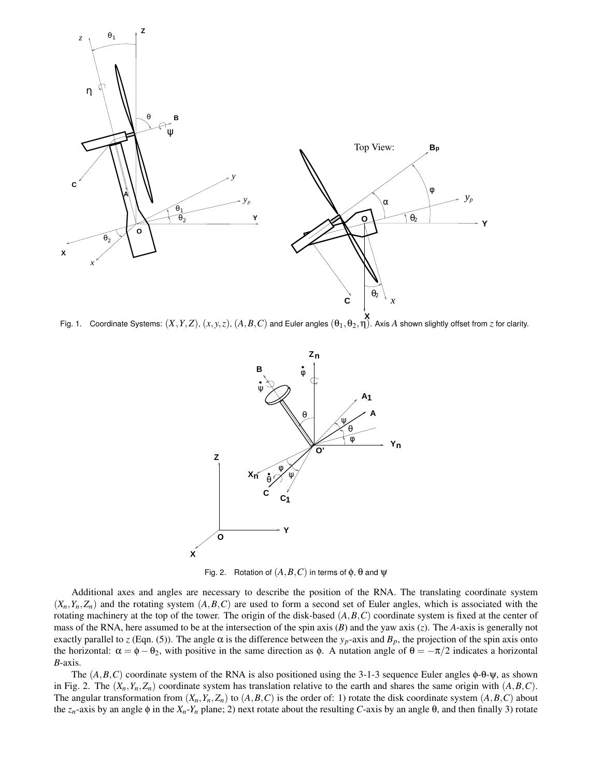

**Fig. 1.** Coordinate Systems:  $(X, Y, Z)$ ,  $(x, y, z)$ ,  $(A, B, C)$  and Euler angles  $(\theta_1, \theta_2, \eta)$ . Axis *A* shown slightly offset from *z* for clarity.



Fig. 2. Rotation of  $(A, B, C)$  in terms of  $\phi$ ,  $\theta$  and  $\Psi$ 

Additional axes and angles are necessary to describe the position of the RNA. The translating coordinate system  $(X_n, Y_n, Z_n)$  and the rotating system  $(A, B, C)$  are used to form a second set of Euler angles, which is associated with the rotating machinery at the top of the tower. The origin of the disk-based  $(A, B, C)$  coordinate system is fixed at the center of mass of the RNA, here assumed to be at the intersection of the spin axis  $(B)$  and the yaw axis  $(z)$ . The *A*-axis is generally not exactly parallel to *z* (Eqn. (5)). The angle  $\alpha$  is the difference between the  $y_p$ -axis and  $B_p$ , the projection of the spin axis onto the horizontal:  $\alpha = \phi - \theta_2$ , with positive in the same direction as  $\phi$ . A nutation angle of  $\theta = -\pi/2$  indicates a horizontal *B*-axis.

The  $(A, B, C)$  coordinate system of the RNA is also positioned using the 3-1-3 sequence Euler angles  $\phi$ - $\theta$ - $\psi$ , as shown in Fig. 2. The  $(X_n, Y_n, Z_n)$  coordinate system has translation relative to the earth and shares the same origin with  $(A, B, C)$ . The angular transformation from  $(X_n, Y_n, Z_n)$  to  $(A, B, C)$  is the order of: 1) rotate the disk coordinate system  $(A, B, C)$  about the *z<sub>n</sub>*-axis by an angle φ in the *X<sub>n</sub>*-*Y<sub>n</sub>* plane; 2) next rotate about the resulting *C*-axis by an angle θ, and then finally 3) rotate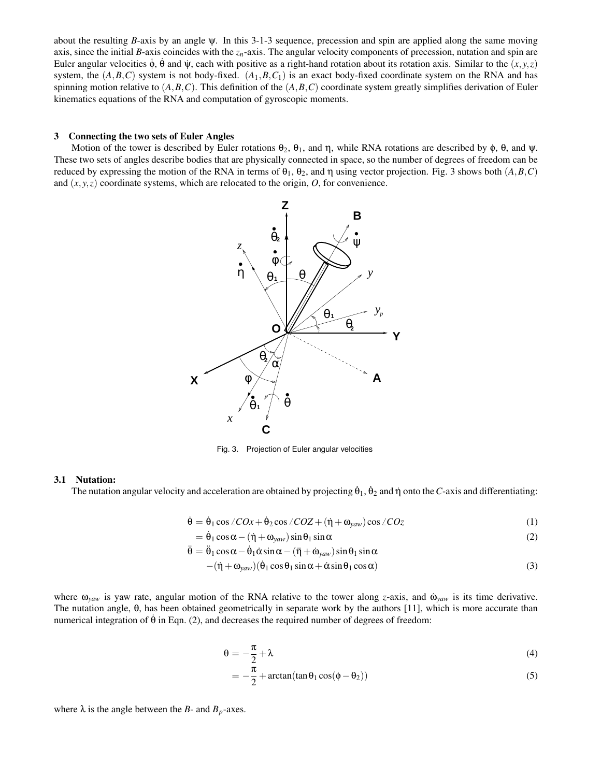about the resulting *B*-axis by an angle  $\psi$ . In this 3-1-3 sequence, precession and spin are applied along the same moving axis, since the initial *B*-axis coincides with the  $z<sub>n</sub>$ -axis. The angular velocity components of precession, nutation and spin are Euler angular velocities φ, θ and ψ, each with positive as a right-hand rotation about its rotation axis. Similar to the  $(x, y, z)$ system, the  $(A, B, C)$  system is not body-fixed.  $(A_1, B, C_1)$  is an exact body-fixed coordinate system on the RNA and has spinning motion relative to  $(A, B, C)$ . This definition of the  $(A, B, C)$  coordinate system greatly simplifies derivation of Euler kinematics equations of the RNA and computation of gyroscopic moments.

## 3 Connecting the two sets of Euler Angles

Motion of the tower is described by Euler rotations  $\theta_2$ ,  $\theta_1$ , and  $\eta$ , while RNA rotations are described by  $\phi$ ,  $\theta$ , and  $\psi$ . These two sets of angles describe bodies that are physically connected in space, so the number of degrees of freedom can be reduced by expressing the motion of the RNA in terms of  $θ_1$ ,  $θ_2$ , and  $η$  using vector projection. Fig. 3 shows both (*A,B,C*) and  $(x, y, z)$  coordinate systems, which are relocated to the origin,  $O$ , for convenience.



Fig. 3. Projection of Euler angular velocities

## 3.1 Nutation:

The nutation angular velocity and acceleration are obtained by projecting  $\dot{\theta}_1$ ,  $\dot{\theta}_2$  and  $\eta$  onto the *C*-axis and differentiating:

$$
\dot{\theta} = \dot{\theta}_1 \cos \angle COx + \dot{\theta}_2 \cos \angle COZ + (\dot{\eta} + \omega_{yaw}) \cos \angle COZ \tag{1}
$$

$$
= \dot{\theta}_1 \cos \alpha - (\dot{\eta} + \omega_{\text{yaw}}) \sin \theta_1 \sin \alpha \tag{2}
$$

$$
\ddot{\theta} = \ddot{\theta}_1 \cos \alpha - \dot{\theta}_1 \dot{\alpha} \sin \alpha - (\ddot{\eta} + \dot{\omega}_{yaw}) \sin \theta_1 \sin \alpha
$$

$$
-(\dot{\eta} + \omega_{yaw})(\dot{\theta}_1 \cos \theta_1 \sin \alpha + \dot{\alpha} \sin \theta_1 \cos \alpha) \tag{3}
$$

where  $\omega_{\text{yaw}}$  is yaw rate, angular motion of the RNA relative to the tower along *z*-axis, and  $\omega_{\text{yaw}}$  is its time derivative. The nutation angle, θ, has been obtained geometrically in separate work by the authors [11], which is more accurate than numerical integration of θ in Eqn. (2), and decreases the required number of degrees of freedom:

$$
\theta = -\frac{\pi}{2} + \lambda \tag{4}
$$

$$
= -\frac{\pi}{2} + \arctan(\tan\theta_1\cos(\phi - \theta_2))
$$
\n(5)

where  $\lambda$  is the angle between the *B*- and  $B_p$ -axes.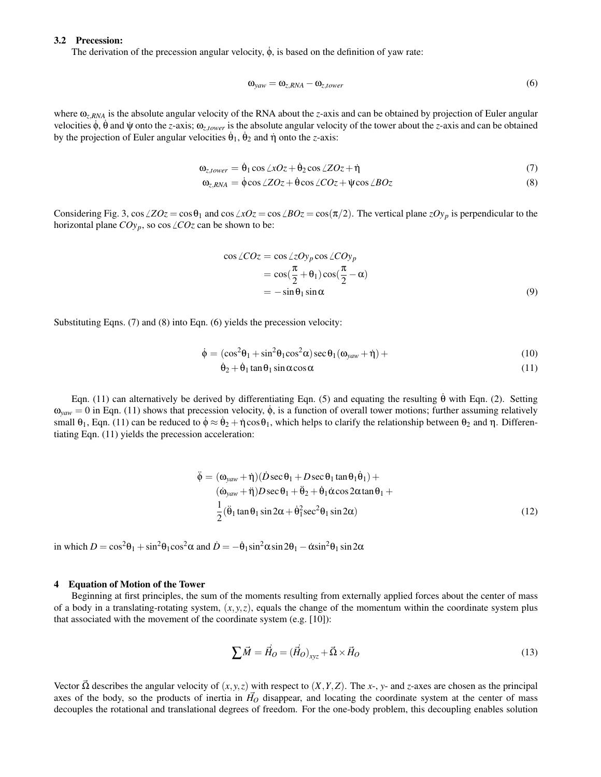# 3.2 Precession:

The derivation of the precession angular velocity,  $\dot{\phi}$ , is based on the definition of yaw rate:

$$
\omega_{\text{yaw}} = \omega_{z,RNA} - \omega_{z,tower} \tag{6}
$$

where ω*z*,*RNA* is the absolute angular velocity of the RNA about the *z*-axis and can be obtained by projection of Euler angular velocities φ; θ and ψ onto the *z*-axis;  $ω_{z, lower}$  is the absolute angular velocity of the tower about the *z*-axis and can be obtained by the projection of Euler angular velocities  $\dot{\theta}_1$ ,  $\dot{\theta}_2$  and  $\dot{\eta}$  onto the *z*-axis:

$$
\omega_{z, tower} = \dot{\theta}_1 \cos \angle xOz + \dot{\theta}_2 \cos \angle ZOz + \dot{\eta}
$$
\n(7)

$$
\omega_{z,RNA} = \dot{\phi}\cos\angle ZOz + \dot{\theta}\cos\angle COz + \dot{\psi}\cos\angle BOz \tag{8}
$$

Considering Fig. 3,  $\cos \angle ZOz = \cos \theta_1$  and  $\cos \angle xOz = \cos \angle BOz = \cos(\pi/2)$ . The vertical plane  $zOy_p$  is perpendicular to the horizontal plane  $COy_p$ , so cos  $\angle COz$  can be shown to be:

$$
\cos \angle COz = \cos \angle zOy_p \cos \angle COy_p
$$
  
=  $\cos(\frac{\pi}{2} + \theta_1) \cos(\frac{\pi}{2} - \alpha)$   
=  $-\sin \theta_1 \sin \alpha$  (9)

Substituting Eqns. (7) and (8) into Eqn. (6) yields the precession velocity:

$$
\dot{\phi} = (\cos^2 \theta_1 + \sin^2 \theta_1 \cos^2 \alpha) \sec \theta_1 (\omega_{\text{yaw}} + \dot{\eta}) +
$$
\n(10)

$$
\dot{\theta}_2 + \dot{\theta}_1 \tan \theta_1 \sin \alpha \cos \alpha \tag{11}
$$

Eqn. (11) can alternatively be derived by differentiating Eqn. (5) and equating the resulting  $\dot{\theta}$  with Eqn. (2). Setting  $\omega_{\text{vaw}} = 0$  in Eqn. (11) shows that precession velocity,  $\dot{\phi}$ , is a function of overall tower motions; further assuming relatively small  $\theta_1$ , Eqn. (11) can be reduced to  $\dot{\phi} \approx \dot{\theta}_2 + \dot{\eta} \cos \theta_1$ , which helps to clarify the relationship between  $\theta_2$  and  $\eta$ . Differentiating Eqn. (11) yields the precession acceleration:

$$
\ddot{\phi} = (\omega_{yaw} + \dot{\eta})(\dot{D}\sec\theta_1 + D\sec\theta_1\tan\theta_1\dot{\theta}_1) +
$$
  
\n
$$
(\dot{\omega}_{yaw} + \ddot{\eta})D\sec\theta_1 + \ddot{\theta}_2 + \dot{\theta}_1\dot{\alpha}\cos2\alpha\tan\theta_1 +
$$
  
\n
$$
\frac{1}{2}(\ddot{\theta}_1\tan\theta_1\sin2\alpha + \dot{\theta}_1^2\sec^2\theta_1\sin2\alpha)
$$
\n(12)

in which  $D = \cos^2 \theta_1 + \sin^2 \theta_1 \cos^2 \alpha$  and  $\dot{D} = -\dot{\theta}_1 \sin^2 \alpha \sin 2\theta_1 - \dot{\alpha} \sin^2 \theta_1 \sin 2\alpha$ 

## 4 Equation of Motion of the Tower

Beginning at first principles, the sum of the moments resulting from externally applied forces about the center of mass of a body in a translating-rotating system,  $(x, y, z)$ , equals the change of the momentum within the coordinate system plus that associated with the movement of the coordinate system (e.g. [10]):

$$
\sum \vec{M} = \vec{H}_O = (\vec{H}_O)_{xyz} + \vec{\Omega} \times \vec{H}_O \tag{13}
$$

Vector  $\Omega$  describes the angular velocity of  $(x, y, z)$  with respect to  $(X, Y, Z)$ . The *x*-, *y*- and *z*-axes are chosen as the principal axes of the body, so the products of inertia in  $H<sub>O</sub>$  disappear, and locating the coordinate system at the center of mass decouples the rotational and translational degrees of freedom. For the one-body problem, this decoupling enables solution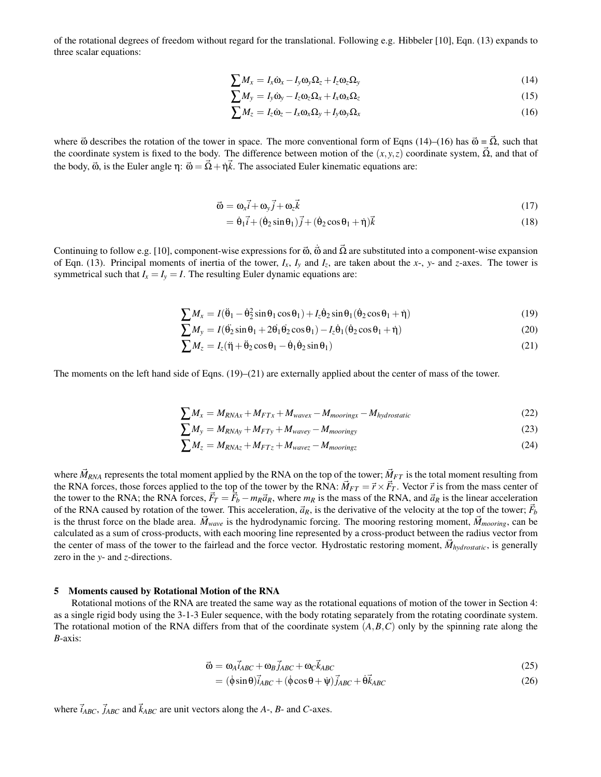of the rotational degrees of freedom without regard for the translational. Following e.g. Hibbeler [10], Eqn. (13) expands to three scalar equations:

$$
\sum M_x = I_x \dot{\omega}_x - I_y \omega_y \Omega_z + I_z \omega_z \Omega_y \tag{14}
$$

$$
\sum M_{y} = I_{y} \dot{\omega}_{y} - I_{z} \omega_{z} \Omega_{x} + I_{x} \omega_{x} \Omega_{z}
$$
\n(15)

$$
\sum M_z = I_z \dot{\omega}_z - I_x \omega_x \Omega_y + I_y \omega_y \Omega_x \tag{16}
$$

where  $\vec{\omega}$  describes the rotation of the tower in space. The more conventional form of Eqns (14)–(16) has  $\vec{\omega} = \vec{\Omega}$ , such that the coordinate system is fixed to the body. The difference between motion of the  $(x, y, z)$  coordinate system,  $\vec{\Omega}$ , and that of the body,  $\vec{\omega}$ , is the Euler angle η:  $\vec{\omega} = \vec{\Omega} + \vec{\eta} \cdot \vec{k}$ . The associated Euler kinematic equations are:

$$
\vec{\omega} = \omega_x \vec{i} + \omega_y \vec{j} + \omega_z \vec{k} \tag{17}
$$

$$
= \dot{\theta}_1 \vec{i} + (\dot{\theta}_2 \sin \theta_1) \vec{j} + (\dot{\theta}_2 \cos \theta_1 + \dot{\eta}) \vec{k}
$$
\n(18)

Continuing to follow e.g. [10], component-wise expressions for  $\vec{\omega}$ ,  $\vec{\omega}$  and  $\vec{\Omega}$  are substituted into a component-wise expansion of Eqn. (13). Principal moments of inertia of the tower,  $I_x$ ,  $I_y$  and  $I_z$ , are taken about the *x*-, *y*- and *z*-axes. The tower is symmetrical such that  $I_x = I_y = I$ . The resulting Euler dynamic equations are:

$$
\sum M_x = I(\ddot{\theta}_1 - \dot{\theta}_2^2 \sin \theta_1 \cos \theta_1) + I_z \dot{\theta}_2 \sin \theta_1 (\dot{\theta}_2 \cos \theta_1 + \dot{\eta})
$$
\n(19)

$$
\sum M_{y} = I(\ddot{\theta_{2}}\sin\theta_{1} + 2\dot{\theta_{1}}\dot{\theta_{2}}\cos\theta_{1}) - I_{z}\dot{\theta_{1}}(\dot{\theta_{2}}\cos\theta_{1} + \dot{\eta})
$$
\n(20)

$$
\sum M_z = I_z(\ddot{\eta} + \ddot{\theta}_2 \cos \theta_1 - \dot{\theta}_1 \dot{\theta}_2 \sin \theta_1)
$$
\n(21)

The moments on the left hand side of Eqns. (19)–(21) are externally applied about the center of mass of the tower.

$$
\sum M_x = M_{RNAx} + M_{FTx} + M_{wavex} - M_{mooringx} - M_{hydrostatic}
$$
\n(22)

$$
\sum M_{y} = M_{RNAy} + M_{FTy} + M_{wavey} - M_{mooringy}
$$
\n(23)

$$
\sum M_z = M_{RNAz} + M_{FTz} + M_{wavez} - M_{mooringz}
$$
\n(24)

where  $\vec{M}_{RNA}$  represents the total moment applied by the RNA on the top of the tower;  $\vec{M}_{FT}$  is the total moment resulting from the RNA forces, those forces applied to the top of the tower by the RNA:  $\vec{M}_{FT} = \vec{r} \times \vec{F}_T$ . Vector  $\vec{r}$  is from the mass center of the tower to the RNA; the RNA forces,  $\vec{F}_T = \vec{F}_b - m_R \vec{a}_R$ , where  $m_R$  is the mass of the RNA, and  $\vec{a}_R$  is the linear acceleration of the RNA caused by rotation of the tower. This acceleration,  $\vec{a}_R$ , is the derivative of the velocity at the top of the tower;  $\vec{F}_b$ is the thrust force on the blade area.  $\vec{M}_{wave}$  is the hydrodynamic forcing. The mooring restoring moment,  $\vec{M}_{moving}$ , can be calculated as a sum of cross-products, with each mooring line represented by a cross-product between the radius vector from the center of mass of the tower to the fairlead and the force vector. Hydrostatic restoring moment,  $\vec{M}_{hvdrostatic}$ , is generally zero in the *y*- and *z*-directions.

# 5 Moments caused by Rotational Motion of the RNA

Rotational motions of the RNA are treated the same way as the rotational equations of motion of the tower in Section 4: as a single rigid body using the 3-1-3 Euler sequence, with the body rotating separately from the rotating coordinate system. The rotational motion of the RNA differs from that of the coordinate system  $(A, B, C)$  only by the spinning rate along the *B*-axis:

$$
\vec{\omega} = \omega_A \vec{i}_{ABC} + \omega_B \vec{j}_{ABC} + \omega_C \vec{k}_{ABC}
$$
 (25)

$$
= (\dot{\phi}\sin\theta)\vec{i}_{ABC} + (\dot{\phi}\cos\theta + \dot{\psi})\vec{j}_{ABC} + \dot{\theta}\vec{k}_{ABC}
$$
\n(26)

where  $\vec{i}_{ABC}$ ,  $\vec{j}_{ABC}$  and  $\vec{k}_{ABC}$  are unit vectors along the *A*-, *B*- and *C*-axes.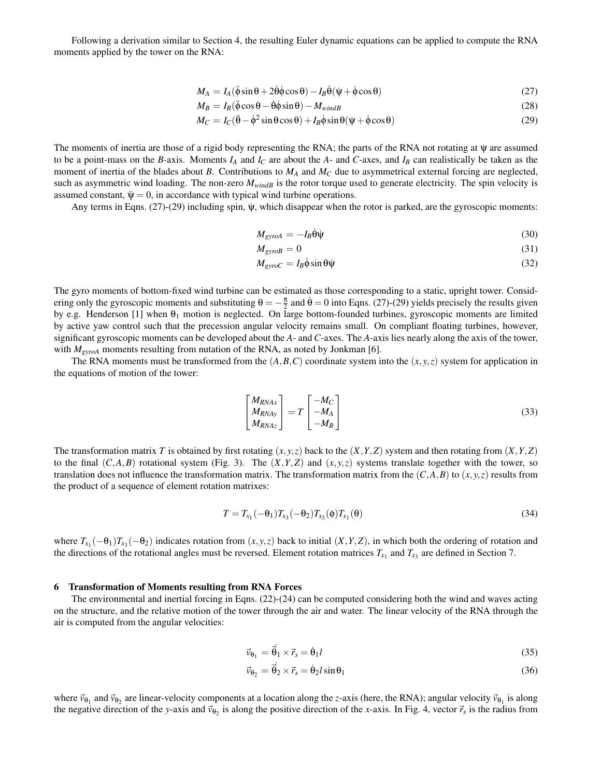Following a derivation similar to Section 4, the resulting Euler dynamic equations can be applied to compute the RNA moments applied by the tower on the RNA:

$$
M_A = I_A(\ddot{\phi}\sin\theta + 2\dot{\theta}\dot{\phi}\cos\theta) - I_B\dot{\theta}(\dot{\psi} + \dot{\phi}\cos\theta)
$$
 (27)

$$
M_B = I_B(\ddot{\phi}\cos\theta - \dot{\theta}\dot{\phi}\sin\theta) - M_{windB} \tag{28}
$$

$$
M_C = I_C(\ddot{\theta} - \dot{\phi}^2 \sin \theta \cos \theta) + I_B \dot{\phi} \sin \theta (\dot{\psi} + \dot{\phi} \cos \theta)
$$
 (29)

The moments of inertia are those of a rigid body representing the RNA; the parts of the RNA not rotating at  $\dot{\psi}$  are assumed to be a point-mass on the *B*-axis. Moments  $I_A$  and  $I_C$  are about the *A*- and *C*-axes, and  $I_B$  can realistically be taken as the moment of inertia of the blades about *B*. Contributions to *M<sup>A</sup>* and *M<sup>C</sup>* due to asymmetrical external forcing are neglected, such as asymmetric wind loading. The non-zero  $M_{windB}$  is the rotor torque used to generate electricity. The spin velocity is assumed constant,  $\ddot{\psi} = 0$ , in accordance with typical wind turbine operations.

Any terms in Eqns.  $(27)-(29)$  including spin,  $\dot{\psi}$ , which disappear when the rotor is parked, are the gyroscopic moments:

$$
M_{gyroA} = -I_B \dot{\theta} \dot{\psi} \tag{30}
$$

$$
M_{\text{gyroB}} = 0 \tag{31}
$$

$$
M_{\text{gyroC}} = I_B \dot{\phi} \sin \theta \dot{\psi} \tag{32}
$$

The gyro moments of bottom-fixed wind turbine can be estimated as those corresponding to a static, upright tower. Considering only the gyroscopic moments and substituting  $\theta = -\frac{\pi}{2}$  and  $\dot{\theta} = 0$  into Eqns. (27)-(29) yields precisely the results given by e.g. Henderson [1] when  $\theta_1$  motion is neglected. On large bottom-founded turbines, gyroscopic moments are limited by active yaw control such that the precession angular velocity remains small. On compliant floating turbines, however, significant gyroscopic moments can be developed about the *A*- and *C*-axes. The *A*-axis lies nearly along the axis of the tower, with  $M_{\text{gyroA}}$  moments resulting from nutation of the RNA, as noted by Jonkman [6].

The RNA moments must be transformed from the  $(A, B, C)$  coordinate system into the  $(x, y, z)$  system for application in the equations of motion of the tower:

$$
\begin{bmatrix} M_{RNAx} \\ M_{RNAy} \\ M_{RNAz} \end{bmatrix} = T \begin{bmatrix} -M_C \\ -M_A \\ -M_B \end{bmatrix}
$$
\n(33)

The transformation matrix *T* is obtained by first rotating  $(x, y, z)$  back to the  $(X, Y, Z)$  system and then rotating from  $(X, Y, Z)$ to the final  $(C, A, B)$  rotational system (Fig. 3). The  $(X, Y, Z)$  and  $(x, y, z)$  systems translate together with the tower, so translation does not influence the transformation matrix. The transformation matrix from the  $(C, A, B)$  to  $(x, y, z)$  results from the product of a sequence of element rotation matrixes:

$$
T = T_{x_1}(-\theta_1)T_{x_3}(-\theta_2)T_{x_3}(\phi)T_{x_1}(\theta)
$$
\n(34)

where  $T_{x_1}(-\theta_1)T_{x_3}(-\theta_2)$  indicates rotation from  $(x, y, z)$  back to initial  $(X, Y, Z)$ , in which both the ordering of rotation and the directions of the rotational angles must be reversed. Element rotation matrices  $T_{x_1}$  and  $T_{x_3}$  are defined in Section 7.

## 6 Transformation of Moments resulting from RNA Forces

The environmental and inertial forcing in Eqns. (22)-(24) can be computed considering both the wind and waves acting on the structure, and the relative motion of the tower through the air and water. The linear velocity of the RNA through the air is computed from the angular velocities:

$$
\vec{v}_{\theta_1} = \vec{\theta}_1 \times \vec{r}_s = \dot{\theta}_1 l \tag{35}
$$

$$
\vec{v}_{\theta_2} = \vec{\theta}_2 \times \vec{r}_s = \dot{\theta}_2 l \sin \theta_1
$$
\n(36)

where  $\vec{v}_{\theta_1}$  and  $\vec{v}_{\theta_2}$  are linear-velocity components at a location along the *z*-axis (here, the RNA); angular velocity  $\vec{v}_{\theta_1}$  is along the negative direction of the *y*-axis and  $\vec{v}_{\theta_2}$  is along the positive direction of the *x*-axis. In Fig. 4, vector  $\vec{r}_s$  is the radius from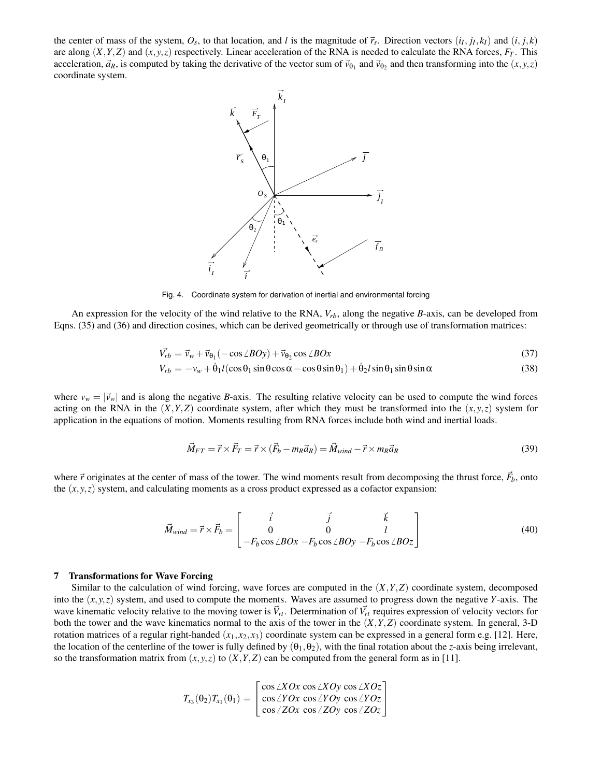the center of mass of the system,  $O_s$ , to that location, and l is the magnitude of  $\vec{r}_s$ . Direction vectors  $(i_I, j_I, k_I)$  and  $(i, j, k)$ are along  $(X, Y, Z)$  and  $(x, y, z)$  respectively. Linear acceleration of the RNA is needed to calculate the RNA forces,  $F_T$ . This acceleration,  $\vec{a}_R$ , is computed by taking the derivative of the vector sum of  $\vec{v}_{\theta_1}$  and  $\vec{v}_{\theta_2}$  and then transforming into the  $(x, y, z)$ coordinate system.



Fig. 4. Coordinate system for derivation of inertial and environmental forcing

An expression for the velocity of the wind relative to the RNA, *Vrb*, along the negative *B*-axis, can be developed from Eqns. (35) and (36) and direction cosines, which can be derived geometrically or through use of transformation matrices:

$$
\vec{V_{rb}} = \vec{v}_w + \vec{v}_{\theta_1}(-\cos\angle BOy) + \vec{v}_{\theta_2}\cos\angle BOx
$$
\n(37)

$$
V_{rb} = -v_w + \dot{\theta}_1 l(\cos\theta_1 \sin\theta \cos\alpha - \cos\theta \sin\theta_1) + \dot{\theta}_2 l \sin\theta_1 \sin\theta \sin\alpha \tag{38}
$$

where  $v_w = |\vec{v}_w|$  and is along the negative *B*-axis. The resulting relative velocity can be used to compute the wind forces acting on the RNA in the  $(X, Y, Z)$  coordinate system, after which they must be transformed into the  $(x, y, z)$  system for application in the equations of motion. Moments resulting from RNA forces include both wind and inertial loads.

$$
\vec{M}_{FT} = \vec{r} \times \vec{F}_T = \vec{r} \times (\vec{F}_b - m_R \vec{a}_R) = \vec{M}_{wind} - \vec{r} \times m_R \vec{a}_R
$$
\n(39)

where  $\vec{r}$  originates at the center of mass of the tower. The wind moments result from decomposing the thrust force,  $\vec{F}_b$ , onto the  $(x, y, z)$  system, and calculating moments as a cross product expressed as a cofactor expansion:

$$
\vec{M}_{wind} = \vec{r} \times \vec{F}_b = \begin{bmatrix} \vec{i} & \vec{j} & \vec{k} \\ 0 & 0 & l \\ -F_b \cos \angle BOx - F_b \cos \angle BOy - F_b \cos \angle BOz \end{bmatrix}
$$
(40)

## 7 Transformations for Wave Forcing

Similar to the calculation of wind forcing, wave forces are computed in the (*X*,*Y*,*Z*) coordinate system, decomposed into the  $(x, y, z)$  system, and used to compute the moments. Waves are assumed to progress down the negative *Y*-axis. The wave kinematic velocity relative to the moving tower is  $\vec{V}_{rt}$ . Determination of  $\vec{V}_{rt}$  requires expression of velocity vectors for both the tower and the wave kinematics normal to the axis of the tower in the  $(X, Y, Z)$  coordinate system. In general, 3-D rotation matrices of a regular right-handed  $(x_1, x_2, x_3)$  coordinate system can be expressed in a general form e.g. [12]. Here, the location of the centerline of the tower is fully defined by  $(\theta_1, \theta_2)$ , with the final rotation about the *z*-axis being irrelevant, so the transformation matrix from  $(x, y, z)$  to  $(X, Y, Z)$  can be computed from the general form as in [11].

$$
T_{x_3}(\theta_2)T_{x_1}(\theta_1) = \begin{bmatrix} \cos \angle XOx & \cos \angle XOy & \cos \angle XOz \\ \cos \angle YOx & \cos \angle YOy & \cos \angle YOz \\ \cos \angle ZOx & \cos \angle ZOy & \cos \angle ZOz \end{bmatrix}
$$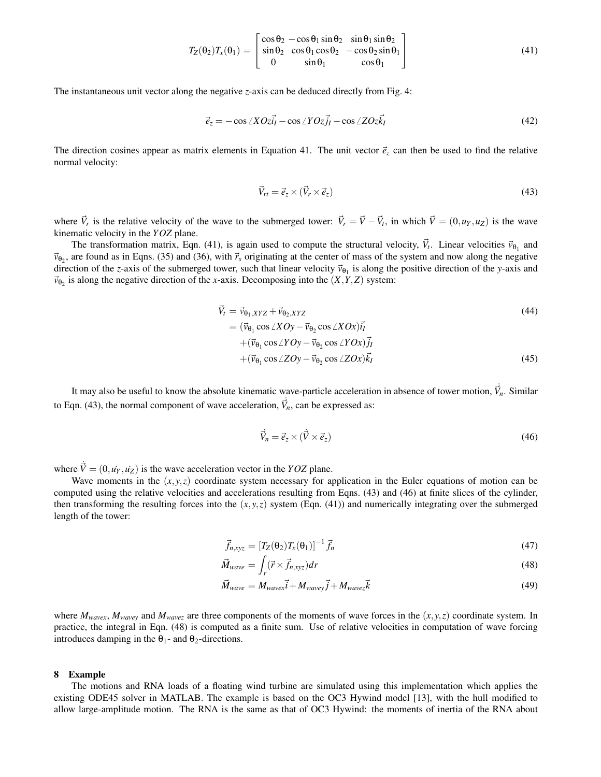$$
T_Z(\theta_2)T_X(\theta_1) = \begin{bmatrix} \cos\theta_2 - \cos\theta_1\sin\theta_2 & \sin\theta_1\sin\theta_2\\ \sin\theta_2 & \cos\theta_1\cos\theta_2 & -\cos\theta_2\sin\theta_1\\ 0 & \sin\theta_1 & \cos\theta_1 \end{bmatrix}
$$
(41)

The instantaneous unit vector along the negative *z*-axis can be deduced directly from Fig. 4:

$$
\vec{e}_z = -\cos\angle XOz\vec{i}_I - \cos\angle YOz\vec{j}_I - \cos\angle ZOz\vec{k}_I
$$
\n(42)

The direction cosines appear as matrix elements in Equation 41. The unit vector  $\vec{e}_z$  can then be used to find the relative normal velocity:

$$
\vec{V}_{rt} = \vec{e}_z \times (\vec{V}_r \times \vec{e}_z) \tag{43}
$$

where  $\vec{V}_r$  is the relative velocity of the wave to the submerged tower:  $\vec{V}_r = \vec{V} - \vec{V}_t$ , in which  $\vec{V} = (0, u_Y, u_Z)$  is the wave kinematic velocity in the *YOZ* plane.

The transformation matrix, Eqn. (41), is again used to compute the structural velocity,  $\vec{V}_t$ . Linear velocities  $\vec{v}_{\theta_1}$  and  $\vec{v}_{\theta_2}$ , are found as in Eqns. (35) and (36), with  $\vec{r}_s$  originating at the center of mass of the system and now along the negative direction of the *z*-axis of the submerged tower, such that linear velocity  $\vec{v}_{\theta_1}$  is along the positive direction of the *y*-axis and  $\vec{v}_{\theta_2}$  is along the negative direction of the *x*-axis. Decomposing into the  $(X, Y, Z)$  system:

$$
\vec{V}_t = \vec{v}_{\theta_1, XYZ} + \vec{v}_{\theta_2, XYZ}
$$
\n
$$
= (\vec{v}_{\theta_1} \cos \angle XOy - \vec{v}_{\theta_2} \cos \angle XOx) \vec{i_I}
$$
\n
$$
+ (\vec{v}_{\theta_1} \cos \angle VOy - \vec{v}_{\theta_2} \cos \angle YOx) \vec{j_I}
$$
\n
$$
+ (\vec{v}_{\theta_1} \cos \angle ZOy - \vec{v}_{\theta_2} \cos \angle ZOx) \vec{k_I}
$$
\n(45)

It may also be useful to know the absolute kinematic wave-particle acceleration in absence of tower motion,  $\vec{V}_n$ . Similar to Eqn. (43), the normal component of wave acceleration,  $\vec{v}_n$ , can be expressed as:

$$
\vec{V}_n = \vec{e}_z \times (\vec{V} \times \vec{e}_z) \tag{46}
$$

where  $\vec{V} = (0, u\dot{Y}, u\dot{Z})$  is the wave acceleration vector in the *YOZ* plane.

Wave moments in the (*x*,*y*,*z*) coordinate system necessary for application in the Euler equations of motion can be computed using the relative velocities and accelerations resulting from Eqns. (43) and (46) at finite slices of the cylinder, then transforming the resulting forces into the  $(x, y, z)$  system (Eqn. (41)) and numerically integrating over the submerged length of the tower:

$$
\vec{f}_{n,xyz} = \left[T_Z(\theta_2)T_X(\theta_1)\right]^{-1} \vec{f}_n \tag{47}
$$

$$
\vec{M}_{wave} = \int_{r} (\vec{r} \times \vec{f}_{n,xyz}) dr \tag{48}
$$

$$
\vec{M}_{wave} = M_{wave} \vec{i} + M_{wave} \vec{j} + M_{wave} \vec{k}
$$
\n(49)

where  $M_{wave}$ ,  $M_{wave}$  and  $M_{wave}$  are three components of the moments of wave forces in the  $(x, y, z)$  coordinate system. In practice, the integral in Eqn. (48) is computed as a finite sum. Use of relative velocities in computation of wave forcing introduces damping in the  $\theta_1$ - and  $\theta_2$ -directions.

## 8 Example

The motions and RNA loads of a floating wind turbine are simulated using this implementation which applies the existing ODE45 solver in MATLAB. The example is based on the OC3 Hywind model [13], with the hull modified to allow large-amplitude motion. The RNA is the same as that of OC3 Hywind: the moments of inertia of the RNA about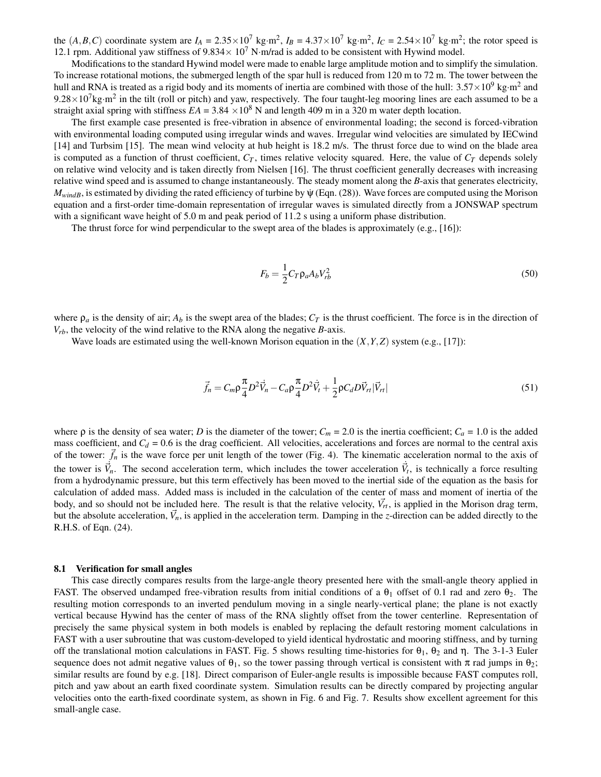the  $(A, B, C)$  coordinate system are  $I_A = 2.35 \times 10^7$  kg·m<sup>2</sup>,  $I_B = 4.37 \times 10^7$  kg·m<sup>2</sup>,  $I_C = 2.54 \times 10^7$  kg·m<sup>2</sup>; the rotor speed is 12.1 rpm. Additional yaw stiffness of  $9.834 \times 10^7$  N·m/rad is added to be consistent with Hywind model.

Modifications to the standard Hywind model were made to enable large amplitude motion and to simplify the simulation. To increase rotational motions, the submerged length of the spar hull is reduced from 120 m to 72 m. The tower between the hull and RNA is treated as a rigid body and its moments of inertia are combined with those of the hull:  $3.57 \times 10^9$  kg·m<sup>2</sup> and  $9.28 \times 10^7$  kg·m<sup>2</sup> in the tilt (roll or pitch) and yaw, respectively. The four taught-leg mooring lines are each assumed to be a straight axial spring with stiffness  $EA = 3.84 \times 10^8$  N and length 409 m in a 320 m water depth location.

The first example case presented is free-vibration in absence of environmental loading; the second is forced-vibration with environmental loading computed using irregular winds and waves. Irregular wind velocities are simulated by IECwind [14] and Turbsim [15]. The mean wind velocity at hub height is 18.2 m/s. The thrust force due to wind on the blade area is computed as a function of thrust coefficient,  $C_T$ , times relative velocity squared. Here, the value of  $C_T$  depends solely on relative wind velocity and is taken directly from Nielsen [16]. The thrust coefficient generally decreases with increasing relative wind speed and is assumed to change instantaneously. The steady moment along the *B*-axis that generates electricity,  $M_{windB}$ , is estimated by dividing the rated efficiency of turbine by  $\psi$  (Eqn. (28)). Wave forces are computed using the Morison equation and a first-order time-domain representation of irregular waves is simulated directly from a JONSWAP spectrum with a significant wave height of 5.0 m and peak period of 11.2 s using a uniform phase distribution.

The thrust force for wind perpendicular to the swept area of the blades is approximately (e.g., [16]):

$$
F_b = \frac{1}{2} C_T \rho_a A_b V_{rb}^2
$$
\n<sup>(50)</sup>

where  $\rho_a$  is the density of air;  $A_b$  is the swept area of the blades;  $C_T$  is the thrust coefficient. The force is in the direction of  $V_{rb}$ , the velocity of the wind relative to the RNA along the negative *B*-axis.

Wave loads are estimated using the well-known Morison equation in the  $(X, Y, Z)$  system (e.g., [17]):

$$
\vec{f}_n = C_m \rho \frac{\pi}{4} D^2 \vec{V}_n - C_a \rho \frac{\pi}{4} D^2 \vec{V}_t + \frac{1}{2} \rho C_d D \vec{V}_n |\vec{V}_n|
$$
\n(51)

where  $\rho$  is the density of sea water; *D* is the diameter of the tower;  $C_m = 2.0$  is the inertia coefficient;  $C_a = 1.0$  is the added mass coefficient, and  $C_d$  = 0.6 is the drag coefficient. All velocities, accelerations and forces are normal to the central axis of the tower:  $\vec{f}_n$  is the wave force per unit length of the tower (Fig. 4). The kinematic acceleration normal to the axis of the tower is  $\vec{v}_n$ . The second acceleration term, which includes the tower acceleration  $\vec{v}_t$ , is technically a force resulting from a hydrodynamic pressure, but this term effectively has been moved to the inertial side of the equation as the basis for calculation of added mass. Added mass is included in the calculation of the center of mass and moment of inertia of the body, and so should not be included here. The result is that the relative velocity,  $\vec{V}_{rt}$ , is applied in the Morison drag term, but the absolute acceleration,  $\vec{V}_n$ , is applied in the acceleration term. Damping in the *z*-direction can be added directly to the R.H.S. of Eqn. (24).

#### 8.1 Verification for small angles

This case directly compares results from the large-angle theory presented here with the small-angle theory applied in FAST. The observed undamped free-vibration results from initial conditions of a  $\theta_1$  offset of 0.1 rad and zero  $\theta_2$ . The resulting motion corresponds to an inverted pendulum moving in a single nearly-vertical plane; the plane is not exactly vertical because Hywind has the center of mass of the RNA slightly offset from the tower centerline. Representation of precisely the same physical system in both models is enabled by replacing the default restoring moment calculations in FAST with a user subroutine that was custom-developed to yield identical hydrostatic and mooring stiffness, and by turning off the translational motion calculations in FAST. Fig. 5 shows resulting time-histories for  $θ_1$ ,  $θ_2$  and η. The 3-1-3 Euler sequence does not admit negative values of  $\theta_1$ , so the tower passing through vertical is consistent with  $\pi$  rad jumps in  $\theta_2$ ; similar results are found by e.g. [18]. Direct comparison of Euler-angle results is impossible because FAST computes roll, pitch and yaw about an earth fixed coordinate system. Simulation results can be directly compared by projecting angular velocities onto the earth-fixed coordinate system, as shown in Fig. 6 and Fig. 7. Results show excellent agreement for this small-angle case.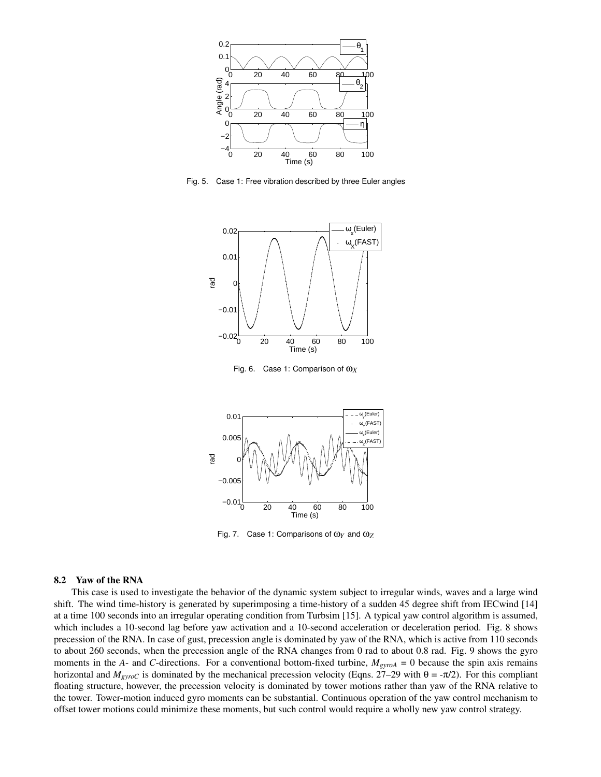

Fig. 5. Case 1: Free vibration described by three Euler angles



Fig. 6. Case 1: Comparison of ω*<sup>X</sup>*



Fig. 7. Case 1: Comparisons of ω*<sup>Y</sup>* and ω*<sup>Z</sup>*

## 8.2 Yaw of the RNA

This case is used to investigate the behavior of the dynamic system subject to irregular winds, waves and a large wind shift. The wind time-history is generated by superimposing a time-history of a sudden 45 degree shift from IECwind [14] at a time 100 seconds into an irregular operating condition from Turbsim [15]. A typical yaw control algorithm is assumed, which includes a 10-second lag before yaw activation and a 10-second acceleration or deceleration period. Fig. 8 shows precession of the RNA. In case of gust, precession angle is dominated by yaw of the RNA, which is active from 110 seconds to about 260 seconds, when the precession angle of the RNA changes from 0 rad to about 0.8 rad. Fig. 9 shows the gyro moments in the *A*- and *C*-directions. For a conventional bottom-fixed turbine,  $M_{\text{gyroA}} = 0$  because the spin axis remains horizontal and  $M_{gyroC}$  is dominated by the mechanical precession velocity (Eqns. 27–29 with θ = -π/2). For this compliant floating structure, however, the precession velocity is dominated by tower motions rather than yaw of the RNA relative to the tower. Tower-motion induced gyro moments can be substantial. Continuous operation of the yaw control mechanism to offset tower motions could minimize these moments, but such control would require a wholly new yaw control strategy.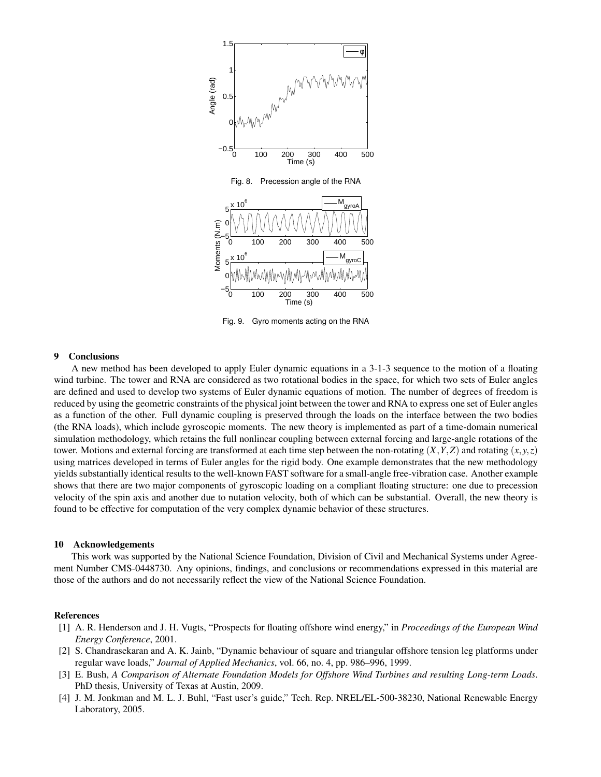

Fig. 9. Gyro moments acting on the RNA

## 9 Conclusions

A new method has been developed to apply Euler dynamic equations in a 3-1-3 sequence to the motion of a floating wind turbine. The tower and RNA are considered as two rotational bodies in the space, for which two sets of Euler angles are defined and used to develop two systems of Euler dynamic equations of motion. The number of degrees of freedom is reduced by using the geometric constraints of the physical joint between the tower and RNA to express one set of Euler angles as a function of the other. Full dynamic coupling is preserved through the loads on the interface between the two bodies (the RNA loads), which include gyroscopic moments. The new theory is implemented as part of a time-domain numerical simulation methodology, which retains the full nonlinear coupling between external forcing and large-angle rotations of the tower. Motions and external forcing are transformed at each time step between the non-rotating  $(X, Y, Z)$  and rotating  $(x, y, z)$ using matrices developed in terms of Euler angles for the rigid body. One example demonstrates that the new methodology yields substantially identical results to the well-known FAST software for a small-angle free-vibration case. Another example shows that there are two major components of gyroscopic loading on a compliant floating structure: one due to precession velocity of the spin axis and another due to nutation velocity, both of which can be substantial. Overall, the new theory is found to be effective for computation of the very complex dynamic behavior of these structures.

#### 10 Acknowledgements

This work was supported by the National Science Foundation, Division of Civil and Mechanical Systems under Agreement Number CMS-0448730. Any opinions, findings, and conclusions or recommendations expressed in this material are those of the authors and do not necessarily reflect the view of the National Science Foundation.

## References

- [1] A. R. Henderson and J. H. Vugts, "Prospects for floating offshore wind energy," in *Proceedings of the European Wind Energy Conference*, 2001.
- [2] S. Chandrasekaran and A. K. Jainb, "Dynamic behaviour of square and triangular offshore tension leg platforms under regular wave loads," *Journal of Applied Mechanics*, vol. 66, no. 4, pp. 986–996, 1999.
- [3] E. Bush, *A Comparison of Alternate Foundation Models for Offshore Wind Turbines and resulting Long-term Loads*. PhD thesis, University of Texas at Austin, 2009.
- [4] J. M. Jonkman and M. L. J. Buhl, "Fast user's guide," Tech. Rep. NREL/EL-500-38230, National Renewable Energy Laboratory, 2005.